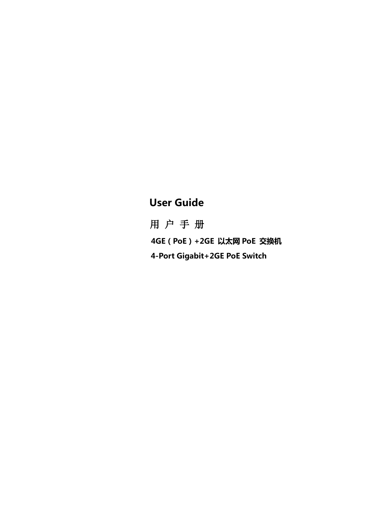# User Guide

用 户 手 册4GE(PoE)+2GE 以太网 PoE 交换机 4-Port Gigabit+2GE PoE Switch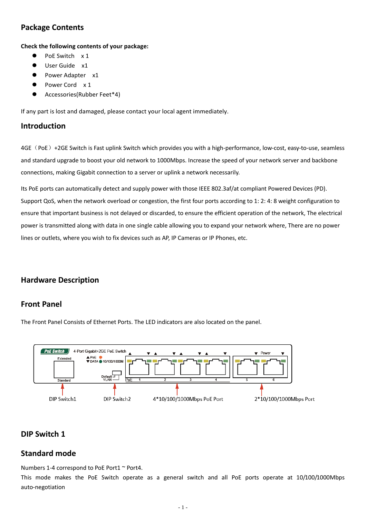# **Package Contents**

**Check the following contents of your package:**

- PoE Switch x 1
- User Guide x1
- Power Adapter x1
- Power Cord x 1
- Accessories(Rubber Feet\*4)

If any part is lost and damaged, please contact your local agent immediately.

### **Introduction**

4GE (PoE) +2GE Switch is Fast uplink Switch which provides you with a high-performance, low-cost, easy-to-use, seamless and standard upgrade to boost your old network to 1000Mbps. Increase the speed of your network server and backbone connections, making Gigabit connection to a server or uplink a network necessarily.

Its PoE ports can automatically detect and supply power with those IEEE 802.3af/at compliant Powered Devices (PD). Support QoS, when the network overload or congestion, the first four ports according to 1: 2: 4: 8 weight configuration to ensure that important business is not delayed or discarded, to ensure the efficient operation of the network, The electrical power is transmitted along with data in one single cable allowing you to expand your network where, There are no power lines or outlets, where you wish to fix devices such as AP, IP Cameras or IP Phones, etc.

# **Hardware Description**

### **Front Panel**

The Front Panel Consists of Ethernet Ports. The LED indicators are also located on the panel.



# **DIP Switch 1**

### **Standard mode**

Numbers 1-4 correspond to PoE Port1 ~ Port4.

This mode makes the PoE Switch operate as a general switch and all PoE ports operate at 10/100/1000Mbps auto-negotiation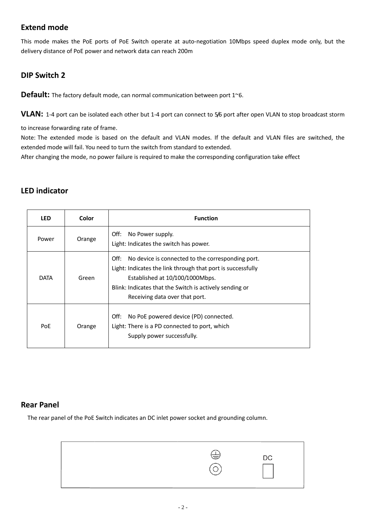# **Extend mode**

This mode makes the PoE ports of PoE Switch operate at auto-negotiation 10Mbps speed duplex mode only, but the delivery distance of PoE power and network data can reach 200m

# **DIP Switch 2**

**Default:** The factory default mode, can normal communication between port 1~6.

**VLAN:** 1-4 port can be isolated each other but 1-4 port can connect to 5/6 port after open VLAN to stop broadcast storm

to increase forwarding rate of frame.

Note: The extended mode is based on the default and VLAN modes. If the default and VLAN files are switched, the extended mode will fail. You need to turn the switch from standard to extended.

After changing the mode, no power failure is required to make the corresponding configuration take effect

# **LED indicator**

| <b>LED</b>  | Color  | <b>Function</b>                                                                                                                                                                                                                                          |
|-------------|--------|----------------------------------------------------------------------------------------------------------------------------------------------------------------------------------------------------------------------------------------------------------|
| Power       | Orange | Off:<br>No Power supply.<br>Light: Indicates the switch has power.                                                                                                                                                                                       |
| <b>DATA</b> | Green  | No device is connected to the corresponding port.<br>Off:<br>Light: Indicates the link through that port is successfully<br>Established at 10/100/1000Mbps.<br>Blink: Indicates that the Switch is actively sending or<br>Receiving data over that port. |
| PoE         | Orange | Off:<br>No PoE powered device (PD) connected.<br>Light: There is a PD connected to port, which<br>Supply power successfully.                                                                                                                             |

### **Rear Panel**

The rear panel of the PoE Switch indicates an DC inlet power socket and grounding column.

| し | DC |
|---|----|
|   |    |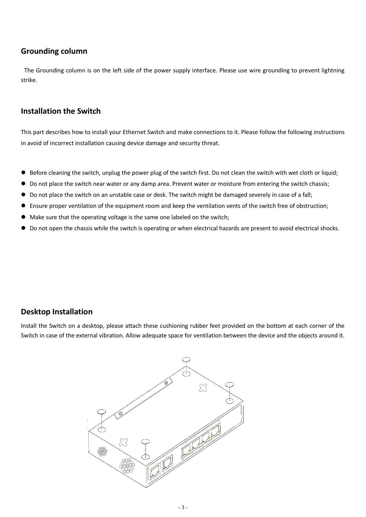## **Grounding column**

The Grounding column is on the left side of the power supply interface. Please use wire grounding to prevent lightning strike.

## **Installation the Switch**

This part describes how to install your Ethernet Switch and make connections to it. Please follow the following instructions in avoid of incorrect installation causing device damage and security threat.

- Before cleaning the switch, unplug the power plug of the switch first. Do not clean the switch with wet cloth or liquid;
- Do not place the switch near water or any damp area. Prevent water or moisture from entering the switch chassis;
- Do not place the switch on an unstable case or desk. The switch might be damaged severely in case of a fall;
- Ensure proper ventilation of the equipment room and keep the ventilation vents of the switch free of obstruction;
- Make sure that the operating voltage is the same one labeled on the switch;
- Do not open the chassis while the switch is operating or when electrical hazards are present to avoid electrical shocks.

# **Desktop Installation**

Install the Switch on a desktop, please attach these cushioning rubber feet provided on the bottom at each corner of the Switch in case of the external vibration. Allow adequate space for ventilation between the device and the objects around it.

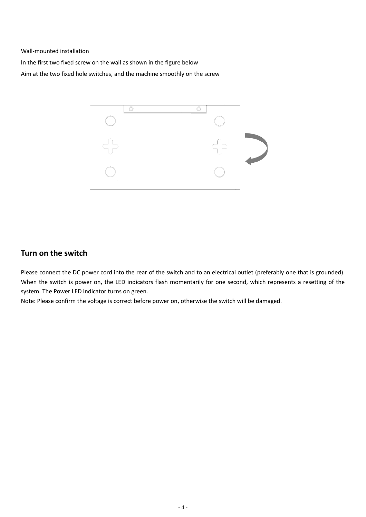Wall-mounted installation

In the first two fixed screw on the wall as shown in the figure below Aim at the two fixed hole switches, and the machine smoothly on the screw



# **Turn on the switch**

Please connect the DC power cord into the rear of the switch and to an electrical outlet (preferably one that is grounded). When the switch is power on, the LED indicators flash momentarily for one second, which represents a resetting of the system. The Power LED indicator turns on green.

Note: Please confirm the voltage is correct before power on, otherwise the switch will be damaged.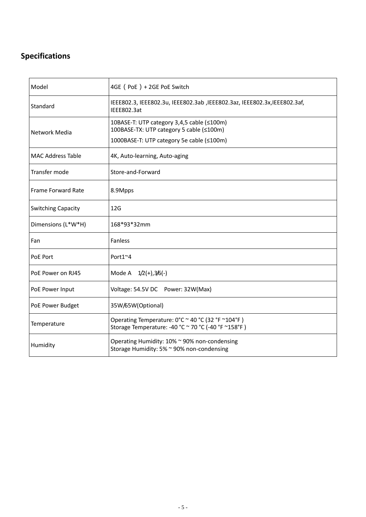# **Specifications**

| Model                     | 4GE (PoE) + 2GE PoE Switch                                                                                                          |
|---------------------------|-------------------------------------------------------------------------------------------------------------------------------------|
| Standard                  | IEEE802.3, IEEE802.3u, IEEE802.3ab, IEEE802.3az, IEEE802.3x, IEEE802.3af,<br>IEEE802.3at                                            |
| Network Media             | 10BASE-T: UTP category 3,4,5 cable (≤100m)<br>100BASE-TX: UTP category 5 cable (≤100m)<br>1000BASE-T: UTP category 5e cable (≤100m) |
| <b>MAC Address Table</b>  | 4K, Auto-learning, Auto-aging                                                                                                       |
| Transfer mode             | Store-and-Forward                                                                                                                   |
| Frame Forward Rate        | 8.9Mpps                                                                                                                             |
| <b>Switching Capacity</b> | 12G                                                                                                                                 |
| Dimensions (L*W*H)        | 168*93*32mm                                                                                                                         |
| Fan                       | Fanless                                                                                                                             |
| PoE Port                  | Port1~4                                                                                                                             |
| PoE Power on RJ45         | Mode A $1/2(+),3/6(-)$                                                                                                              |
| PoE Power Input           | Voltage: 54.5V DC Power: 32W(Max)                                                                                                   |
| PoE Power Budget          | 35W/65W(Optional)                                                                                                                   |
| Temperature               | Operating Temperature: 0°C ~ 40 °C (32 °F ~104°F)<br>Storage Temperature: -40 °C ~ 70 °C (-40 °F ~158°F)                            |
| Humidity                  | Operating Humidity: 10% ~ 90% non-condensing<br>Storage Humidity: 5% ~ 90% non-condensing                                           |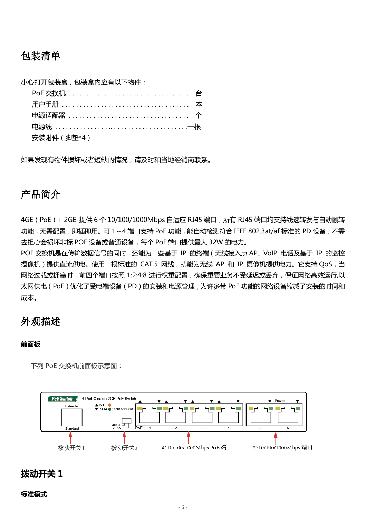# 包装清单

小心打开包装盒,包装盒内应有以下物件:

| 安装附件 ( 脚垫*4 ) |
|---------------|

如果发现有物件损坏或者短缺的情况,请及时和当地经销商联系。

# 产品简介

4GE (PoE) + 2GE 提供 6 个 10/100/1000Mbps 自适应 RJ45 端口, 所有 RJ45 端口均支持线速转发与自动翻转 功能,无需配置,即插即用。可 1~4 端口支持 PoE 功能,能自动检测符合 IEEE 802.3at/af 标准的 PD 设备,不需 去担心会损坏非标 POE 设备或普通设备,每个 PoE 端口提供最大 32W 的电力。

POE 交换机是在传输数据信号的同时,还能为一些基于 IP 的终端 (无线接入点 AP、VoIP 电话及基于 IP 的监控 摄像机)提供直流供电。使用一根标准的 CAT 5 网线, 就能为无线 AP 和 IP 摄像机提供电力。它支持 QoS, 当 网络过载或拥塞时,前四个端口按照 1:2:4:8 进行权重配置,确保重要业务不受延迟或丢弃,保证网络高效运行,以 太网供电(PoE)优化了受电端设备(PD)的安装和电源管理,为许多带 PoE 功能的网络设备缩减了安装的时间和 成本。

# 外观描述

#### 前面板

下列 PoE 交换机前面板示意图:



# 拨动开关 1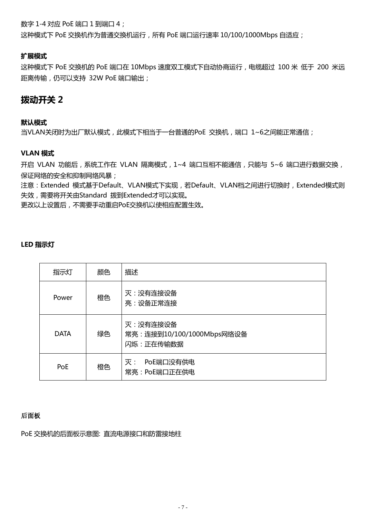数字 1-4 对应 PoE 端口 1 到端口 4;

这种模式下 PoE 交换机作为普通交换机运行, 所有 PoE 端口运行速率 10/100/1000Mbps 自适应;

### 扩展模式

这种模式下 PoE 交换机的 PoE 端口在 10Mbps 速度双工模式下自动协商运行,电缆超过 100 米 低于 200 米远 距离传输,仍可以支持 32W PoE 端口输出;

# 拨动开关 2

#### 默认模式

当VLAN关闭时为出厂默认模式,此模式下相当于一台普通的PoE 交换机,满口 1~6之间能正常通信;

### VLAN 模式

开启 VLAN 功能后,系统工作在 VLAN 隔离模式, 1~4 端口互相不能通信, 只能与 5~6 端口进行数据交换, 保证网络的安全和抑制网络风暴;

注意: Extended 模式基于Default、VLAN模式下实现, 若Default、VLAN档之间进行切换时, Extended模式则 失效,需要将开关由Standard 拨到Extended才可以实现。

更改以上设置后,丌需要手动重启PoE交换机以使相应配置生效。

#### LED 指示灯

| 指示灯         | 颜色 | 描述                                                  |
|-------------|----|-----------------------------------------------------|
| Power       | 橙色 | 灭:没有连接设备<br>亮:设备正常连接                                |
| <b>DATA</b> | 绿色 | 灭:没有连接设备<br>常亮: 连接到10/100/1000Mbps网络设备<br>闪烁:正在传输数据 |
| PoE         | 橙色 | PoE端口没有供电<br>灭:<br>常亮: PoE端口正在供电                    |

#### 后面板

PoE 交换机的后面板示意图: 直流电源接口和防雷接地柱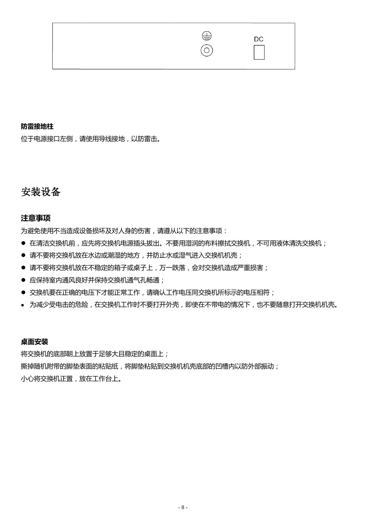

## 防雷接地柱

位于电源接口左侧,请使用导线接地,以防雷击。

# 安装设备

## 注意事项

为避免使用不当造成设备损坏及对人身的伤害,请遵从以下的注意事项:

- 在清洁交换机前,应先将交换机电源插头拔出。不要用湿润的布料擦拭交换机,不可用液体清洗交换机;
- 请不要将交换机放在水边或潮湿的地方,并防止水或湿气进入交换机机壳;
- 请不要将交换机放在不稳定的箱子或桌子上,万一跌落,会对交换机造成严重损害;
- 应保持室内通风良好并保持交换机通气孔畅通;
- 交换机要在正确的电压下才能正常工作,请确认工作电压同交换机所标示的电压相符;
- 为减少受电击的危险,在交换机工作时不要打开外壳,即使在不带电的情况下,也不要随意打开交换机机壳。

### 桌面安装

将交换机的底部朝上放置于足够大且稳定的桌面上; 撕掉随机附带的脚垫表面的粘贴纸,将脚垫粘贴到交换机机壳底部的凹槽内以防外部振动; 小心将交换机正置,放在工作台上。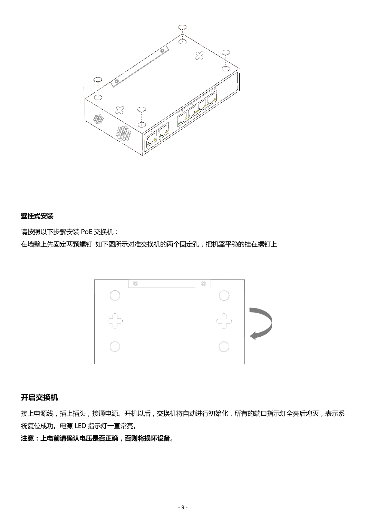

### 壁挂式安装

请按照以下步骤安装 PoE 交换机:

在墙壁上先固定两颗螺钉 如下图所示对准交换机的两个固定孔,把机器平稳的挂在螺钉上



### 开启交换机

接上电源线,插上插头,接通电源。开机以后,交换机将自动进行初始化,所有的端口指示灯全亮后熄灭,表示系 统复位成功。电源 LED 指示灯一直常亮。

## 注意:上电前请确认电压是否正确,否则将损坏设备。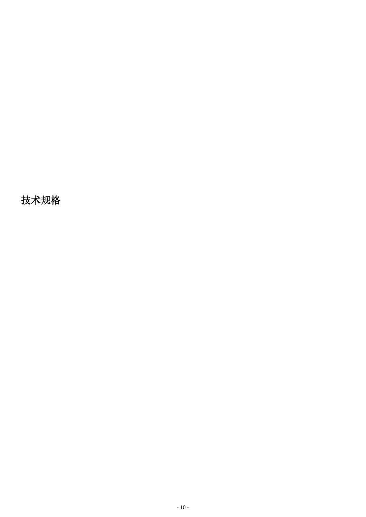技术规格